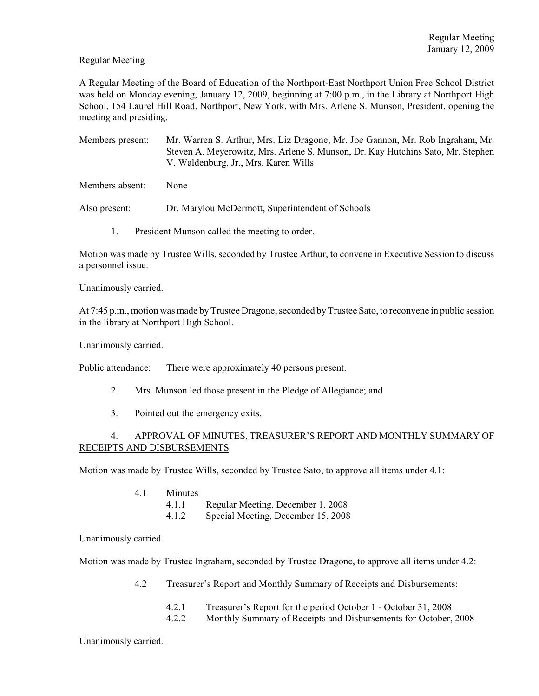## Regular Meeting

A Regular Meeting of the Board of Education of the Northport-East Northport Union Free School District was held on Monday evening, January 12, 2009, beginning at 7:00 p.m., in the Library at Northport High School, 154 Laurel Hill Road, Northport, New York, with Mrs. Arlene S. Munson, President, opening the meeting and presiding.

Members present: Mr. Warren S. Arthur, Mrs. Liz Dragone, Mr. Joe Gannon, Mr. Rob Ingraham, Mr. Steven A. Meyerowitz, Mrs. Arlene S. Munson, Dr. Kay Hutchins Sato, Mr. Stephen V. Waldenburg, Jr., Mrs. Karen Wills

Members absent: None

Also present: Dr. Marylou McDermott, Superintendent of Schools

1. President Munson called the meeting to order.

Motion was made by Trustee Wills, seconded by Trustee Arthur, to convene in Executive Session to discuss a personnel issue.

Unanimously carried.

At 7:45 p.m., motion was made by Trustee Dragone, seconded by Trustee Sato, to reconvene in public session in the library at Northport High School.

Unanimously carried.

Public attendance: There were approximately 40 persons present.

- 2. Mrs. Munson led those present in the Pledge of Allegiance; and
- 3. Pointed out the emergency exits.

# 4. APPROVAL OF MINUTES, TREASURER'S REPORT AND MONTHLY SUMMARY OF RECEIPTS AND DISBURSEMENTS

Motion was made by Trustee Wills, seconded by Trustee Sato, to approve all items under 4.1:

- 4.1 Minutes
	- 4.1.1 Regular Meeting, December 1, 2008
	- 4.1.2 Special Meeting, December 15, 2008

Unanimously carried.

Motion was made by Trustee Ingraham, seconded by Trustee Dragone, to approve all items under 4.2:

- 4.2 Treasurer's Report and Monthly Summary of Receipts and Disbursements:
	- 4.2.1 Treasurer's Report for the period October 1 October 31, 2008
	- 4.2.2 Monthly Summary of Receipts and Disbursements for October, 2008

Unanimously carried.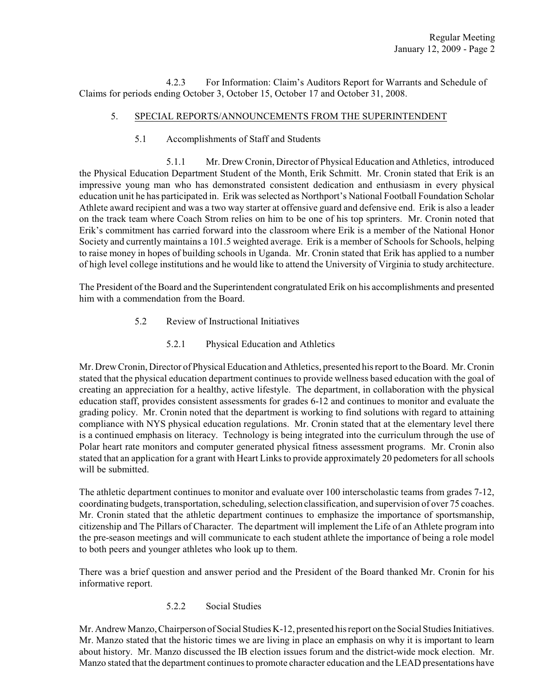4.2.3 For Information: Claim's Auditors Report for Warrants and Schedule of Claims for periods ending October 3, October 15, October 17 and October 31, 2008.

# 5. SPECIAL REPORTS/ANNOUNCEMENTS FROM THE SUPERINTENDENT

5.1 Accomplishments of Staff and Students

5.1.1 Mr. Drew Cronin, Director of Physical Education and Athletics, introduced the Physical Education Department Student of the Month, Erik Schmitt. Mr. Cronin stated that Erik is an impressive young man who has demonstrated consistent dedication and enthusiasm in every physical education unit he has participated in. Erik was selected as Northport's National Football Foundation Scholar Athlete award recipient and was a two way starter at offensive guard and defensive end. Erik is also a leader on the track team where Coach Strom relies on him to be one of his top sprinters. Mr. Cronin noted that Erik's commitment has carried forward into the classroom where Erik is a member of the National Honor Society and currently maintains a 101.5 weighted average. Erik is a member of Schools for Schools, helping to raise money in hopes of building schools in Uganda. Mr. Cronin stated that Erik has applied to a number of high level college institutions and he would like to attend the University of Virginia to study architecture.

The President of the Board and the Superintendent congratulated Erik on his accomplishments and presented him with a commendation from the Board.

- 5.2 Review of Instructional Initiatives
	- 5.2.1 Physical Education and Athletics

Mr. Drew Cronin, Director of Physical Education and Athletics, presented his report to the Board. Mr. Cronin stated that the physical education department continues to provide wellness based education with the goal of creating an appreciation for a healthy, active lifestyle. The department, in collaboration with the physical education staff, provides consistent assessments for grades 6-12 and continues to monitor and evaluate the grading policy. Mr. Cronin noted that the department is working to find solutions with regard to attaining compliance with NYS physical education regulations. Mr. Cronin stated that at the elementary level there is a continued emphasis on literacy. Technology is being integrated into the curriculum through the use of Polar heart rate monitors and computer generated physical fitness assessment programs. Mr. Cronin also stated that an application for a grant with Heart Links to provide approximately 20 pedometers for all schools will be submitted.

The athletic department continues to monitor and evaluate over 100 interscholastic teams from grades 7-12, coordinating budgets, transportation, scheduling, selection classification, and supervision of over 75 coaches. Mr. Cronin stated that the athletic department continues to emphasize the importance of sportsmanship, citizenship and The Pillars of Character. The department will implement the Life of an Athlete program into the pre-season meetings and will communicate to each student athlete the importance of being a role model to both peers and younger athletes who look up to them.

There was a brief question and answer period and the President of the Board thanked Mr. Cronin for his informative report.

5.2.2 Social Studies

Mr. Andrew Manzo, Chairperson of Social Studies K-12, presented his report on the Social Studies Initiatives. Mr. Manzo stated that the historic times we are living in place an emphasis on why it is important to learn about history. Mr. Manzo discussed the IB election issues forum and the district-wide mock election. Mr. Manzo stated that the department continues to promote character education and the LEAD presentations have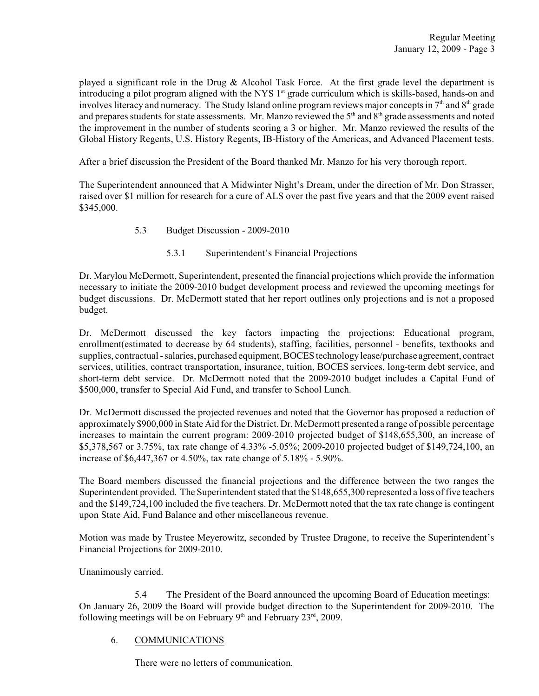played a significant role in the Drug & Alcohol Task Force. At the first grade level the department is introducing a pilot program aligned with the NYS  $1<sup>st</sup>$  grade curriculum which is skills-based, hands-on and involves literacy and numeracy. The Study Island online program reviews major concepts in  $7<sup>th</sup>$  and  $8<sup>th</sup>$  grade and prepares students for state assessments. Mr. Manzo reviewed the  $5<sup>th</sup>$  and  $8<sup>th</sup>$  grade assessments and noted the improvement in the number of students scoring a 3 or higher. Mr. Manzo reviewed the results of the Global History Regents, U.S. History Regents, IB-History of the Americas, and Advanced Placement tests.

After a brief discussion the President of the Board thanked Mr. Manzo for his very thorough report.

The Superintendent announced that A Midwinter Night's Dream, under the direction of Mr. Don Strasser, raised over \$1 million for research for a cure of ALS over the past five years and that the 2009 event raised \$345,000.

- 5.3 Budget Discussion 2009-2010
	- 5.3.1 Superintendent's Financial Projections

Dr. Marylou McDermott, Superintendent, presented the financial projections which provide the information necessary to initiate the 2009-2010 budget development process and reviewed the upcoming meetings for budget discussions. Dr. McDermott stated that her report outlines only projections and is not a proposed budget.

Dr. McDermott discussed the key factors impacting the projections: Educational program, enrollment(estimated to decrease by 64 students), staffing, facilities, personnel - benefits, textbooks and supplies, contractual -salaries, purchased equipment, BOCES technology lease/purchase agreement, contract services, utilities, contract transportation, insurance, tuition, BOCES services, long-term debt service, and short-term debt service. Dr. McDermott noted that the 2009-2010 budget includes a Capital Fund of \$500,000, transfer to Special Aid Fund, and transfer to School Lunch.

Dr. McDermott discussed the projected revenues and noted that the Governor has proposed a reduction of approximately \$900,000 in State Aid for the District. Dr. McDermott presented a range of possible percentage increases to maintain the current program: 2009-2010 projected budget of \$148,655,300, an increase of \$5,378,567 or 3.75%, tax rate change of 4.33% -5.05%; 2009-2010 projected budget of \$149,724,100, an increase of \$6,447,367 or 4.50%, tax rate change of 5.18% - 5.90%.

The Board members discussed the financial projections and the difference between the two ranges the Superintendent provided. The Superintendent stated that the \$148,655,300 represented a loss of five teachers and the \$149,724,100 included the five teachers. Dr. McDermott noted that the tax rate change is contingent upon State Aid, Fund Balance and other miscellaneous revenue.

Motion was made by Trustee Meyerowitz, seconded by Trustee Dragone, to receive the Superintendent's Financial Projections for 2009-2010.

Unanimously carried.

5.4 The President of the Board announced the upcoming Board of Education meetings: On January 26, 2009 the Board will provide budget direction to the Superintendent for 2009-2010. The following meetings will be on February  $9<sup>th</sup>$  and February 23<sup>rd</sup>, 2009.

## 6. COMMUNICATIONS

There were no letters of communication.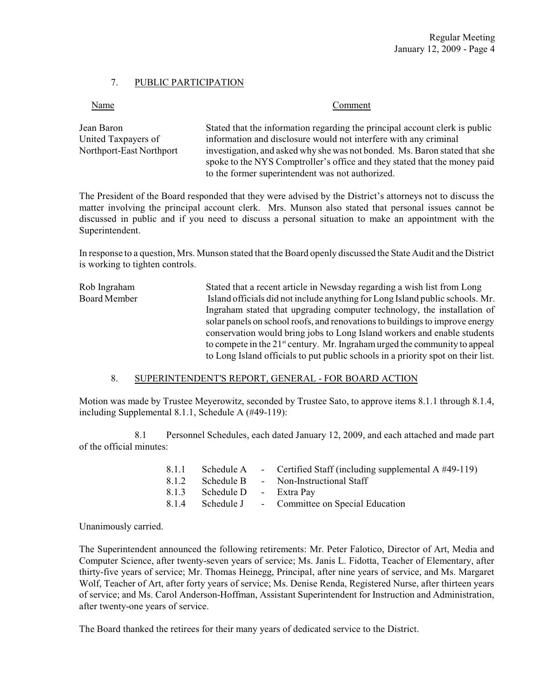## 7. PUBLIC PARTICIPATION

| Name                     | Comment                                                                                                                                                 |  |  |  |
|--------------------------|---------------------------------------------------------------------------------------------------------------------------------------------------------|--|--|--|
| Jean Baron               | Stated that the information regarding the principal account clerk is public                                                                             |  |  |  |
| United Taxpayers of      | information and disclosure would not interfere with any criminal                                                                                        |  |  |  |
| Northport-East Northport | investigation, and asked why she was not bonded. Ms. Baron stated that she<br>spoke to the NYS Comptroller's office and they stated that the money paid |  |  |  |
|                          | to the former superintendent was not authorized.                                                                                                        |  |  |  |

The President of the Board responded that they were advised by the District's attorneys not to discuss the matter involving the principal account clerk. Mrs. Munson also stated that personal issues cannot be discussed in public and if you need to discuss a personal situation to make an appointment with the Superintendent.

In response to a question, Mrs. Munson stated that the Board openly discussed the State Audit and the District is working to tighten controls.

Rob Ingraham Stated that a recent article in Newsday regarding a wish list from Long Board Member Island officials did not include anything for Long Island public schools. Mr. Ingraham stated that upgrading computer technology, the installation of solar panels on school roofs, and renovations to buildings to improve energy conservation would bring jobs to Long Island workers and enable students to compete in the  $21^{st}$  century. Mr. Ingraham urged the community to appeal to Long Island officials to put public schools in a priority spot on their list.

### 8. SUPERINTENDENT'S REPORT, GENERAL - FOR BOARD ACTION

Motion was made by Trustee Meyerowitz, seconded by Trustee Sato, to approve items 8.1.1 through 8.1.4, including Supplemental 8.1.1, Schedule A (#49-119):

8.1 Personnel Schedules, each dated January 12, 2009, and each attached and made part of the official minutes:

|                              | 8.1.1 Schedule A - Certified Staff (including supplemental A #49-119) |
|------------------------------|-----------------------------------------------------------------------|
|                              | 8.1.2 Schedule B - Non-Instructional Staff                            |
| 8.1.3 Schedule D - Extra Pav |                                                                       |
|                              | 8.1.4 Schedule J - Committee on Special Education                     |

Unanimously carried.

The Superintendent announced the following retirements: Mr. Peter Falotico, Director of Art, Media and Computer Science, after twenty-seven years of service; Ms. Janis L. Fidotta, Teacher of Elementary, after thirty-five years of service; Mr. Thomas Heinegg, Principal, after nine years of service, and Ms. Margaret Wolf, Teacher of Art, after forty years of service; Ms. Denise Renda, Registered Nurse, after thirteen years of service; and Ms. Carol Anderson-Hoffman, Assistant Superintendent for Instruction and Administration, after twenty-one years of service.

The Board thanked the retirees for their many years of dedicated service to the District.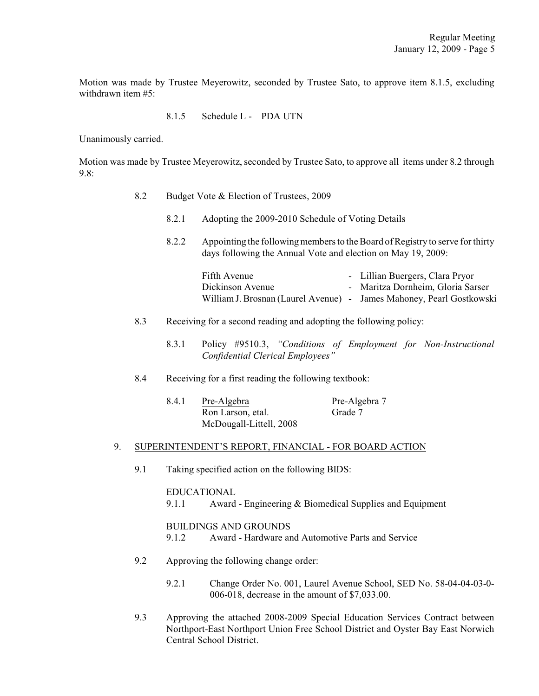Motion was made by Trustee Meyerowitz, seconded by Trustee Sato, to approve item 8.1.5, excluding withdrawn item #5:

8.1.5 Schedule L - PDA UTN

Unanimously carried.

Motion was made by Trustee Meyerowitz, seconded by Trustee Sato, to approve all items under 8.2 through 9.8:

- 8.2 Budget Vote & Election of Trustees, 2009
	- 8.2.1 Adopting the 2009-2010 Schedule of Voting Details
	- 8.2.2 Appointing the following members to the Board of Registry to serve for thirty days following the Annual Vote and election on May 19, 2009:

| Fifth Avenue                                                         | - Lillian Buergers, Clara Pryor   |
|----------------------------------------------------------------------|-----------------------------------|
| Dickinson Avenue                                                     | - Maritza Dornheim, Gloria Sarser |
| William J. Brosnan (Laurel Avenue) - James Mahoney, Pearl Gostkowski |                                   |

- 8.3 Receiving for a second reading and adopting the following policy:
	- 8.3.1 Policy #9510.3, *"Conditions of Employment for Non-Instructional Confidential Clerical Employees"*
- 8.4 Receiving for a first reading the following textbook:

| 8.4.1 | Pre-Algebra             | Pre-Algebra 7 |
|-------|-------------------------|---------------|
|       | Ron Larson, etal.       | Grade 7       |
|       | McDougall-Littell, 2008 |               |

### 9. SUPERINTENDENT'S REPORT, FINANCIAL - FOR BOARD ACTION

9.1 Taking specified action on the following BIDS:

### EDUCATIONAL

9.1.1 Award - Engineering & Biomedical Supplies and Equipment

### BUILDINGS AND GROUNDS

- 9.1.2 Award Hardware and Automotive Parts and Service
- 9.2 Approving the following change order:
	- 9.2.1 Change Order No. 001, Laurel Avenue School, SED No. 58-04-04-03-0- 006-018, decrease in the amount of \$7,033.00.
- 9.3 Approving the attached 2008-2009 Special Education Services Contract between Northport-East Northport Union Free School District and Oyster Bay East Norwich Central School District.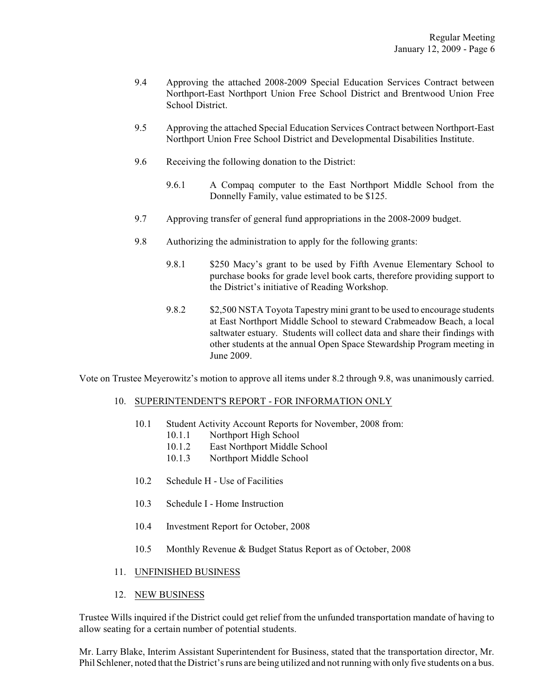- 9.4 Approving the attached 2008-2009 Special Education Services Contract between Northport-East Northport Union Free School District and Brentwood Union Free School District.
- 9.5 Approving the attached Special Education Services Contract between Northport-East Northport Union Free School District and Developmental Disabilities Institute.
- 9.6 Receiving the following donation to the District:
	- 9.6.1 A Compaq computer to the East Northport Middle School from the Donnelly Family, value estimated to be \$125.
- 9.7 Approving transfer of general fund appropriations in the 2008-2009 budget.
- 9.8 Authorizing the administration to apply for the following grants:
	- 9.8.1 \$250 Macy's grant to be used by Fifth Avenue Elementary School to purchase books for grade level book carts, therefore providing support to the District's initiative of Reading Workshop.
	- 9.8.2 \$2,500 NSTA Toyota Tapestry mini grant to be used to encourage students at East Northport Middle School to steward Crabmeadow Beach, a local saltwater estuary. Students will collect data and share their findings with other students at the annual Open Space Stewardship Program meeting in June 2009.

Vote on Trustee Meyerowitz's motion to approve all items under 8.2 through 9.8, was unanimously carried.

### 10. SUPERINTENDENT'S REPORT - FOR INFORMATION ONLY

- 10.1 Student Activity Account Reports for November, 2008 from:
	- 10.1.1 Northport High School
	- 10.1.2 East Northport Middle School
	- 10.1.3 Northport Middle School
- 10.2 Schedule H Use of Facilities
- 10.3 Schedule I Home Instruction
- 10.4 Investment Report for October, 2008
- 10.5 Monthly Revenue & Budget Status Report as of October, 2008

### 11. UNFINISHED BUSINESS

12. NEW BUSINESS

Trustee Wills inquired if the District could get relief from the unfunded transportation mandate of having to allow seating for a certain number of potential students.

Mr. Larry Blake, Interim Assistant Superintendent for Business, stated that the transportation director, Mr. Phil Schlener, noted that the District's runs are being utilized and not running with only five students on a bus.